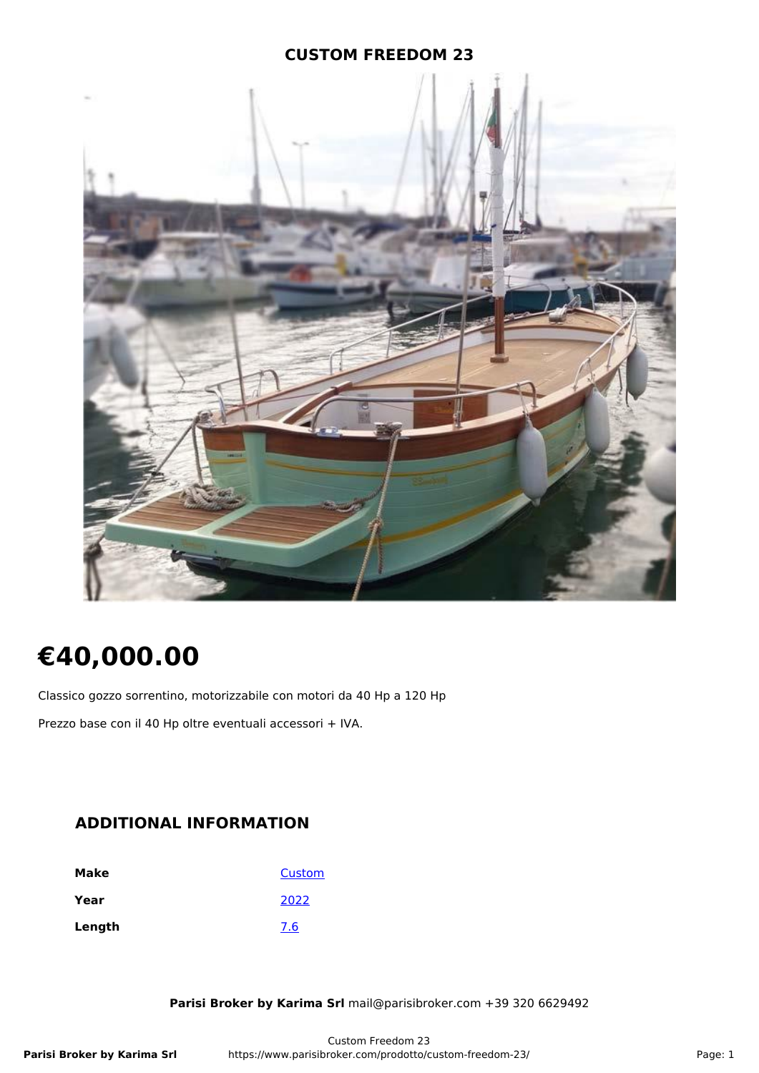### **CUSTOM FREEDOM 23**



# **€40,000.00**

Classico gozzo sorrentino, motorizzabile con motori da 40 Hp a 120 Hp

Prezzo base con il 40 Hp oltre eventuali accessori + IVA.

# **ADDITIONAL INFORMATION**

| Make   | Custom |
|--------|--------|
| Year   | 2022   |
| Length | 7.6    |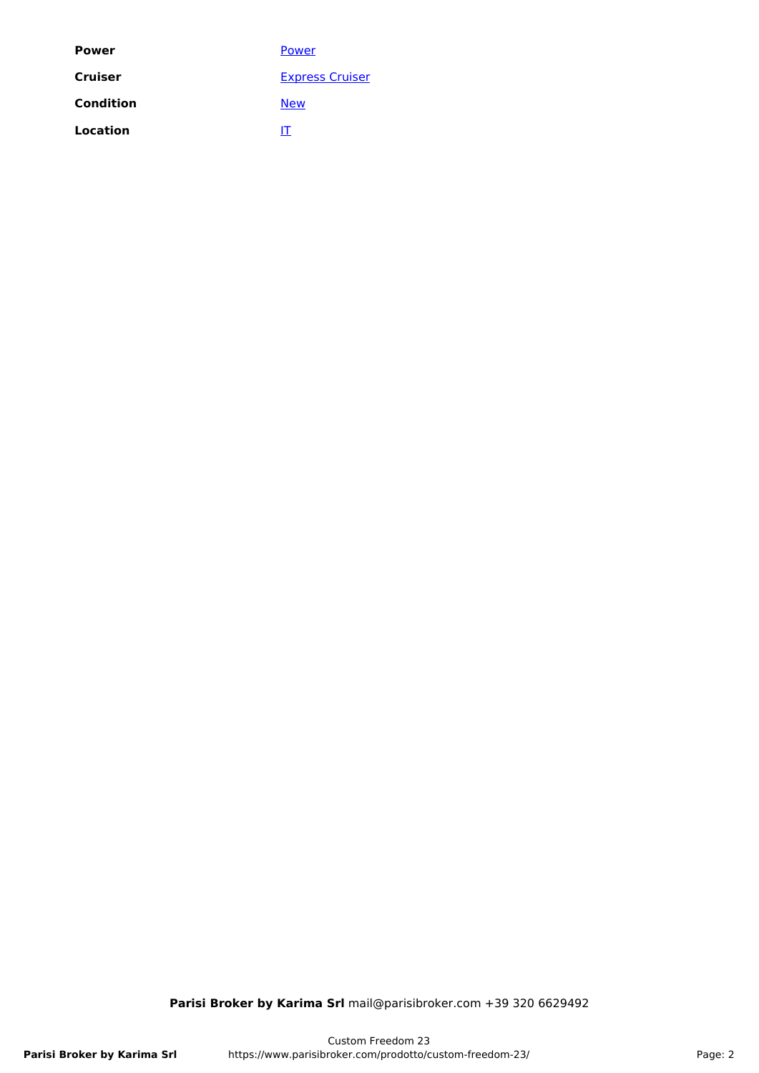| <b>Power</b> | Power                  |
|--------------|------------------------|
| Cruiser      | <b>Express Cruiser</b> |
| Condition    | <b>New</b>             |
| Location     | П                      |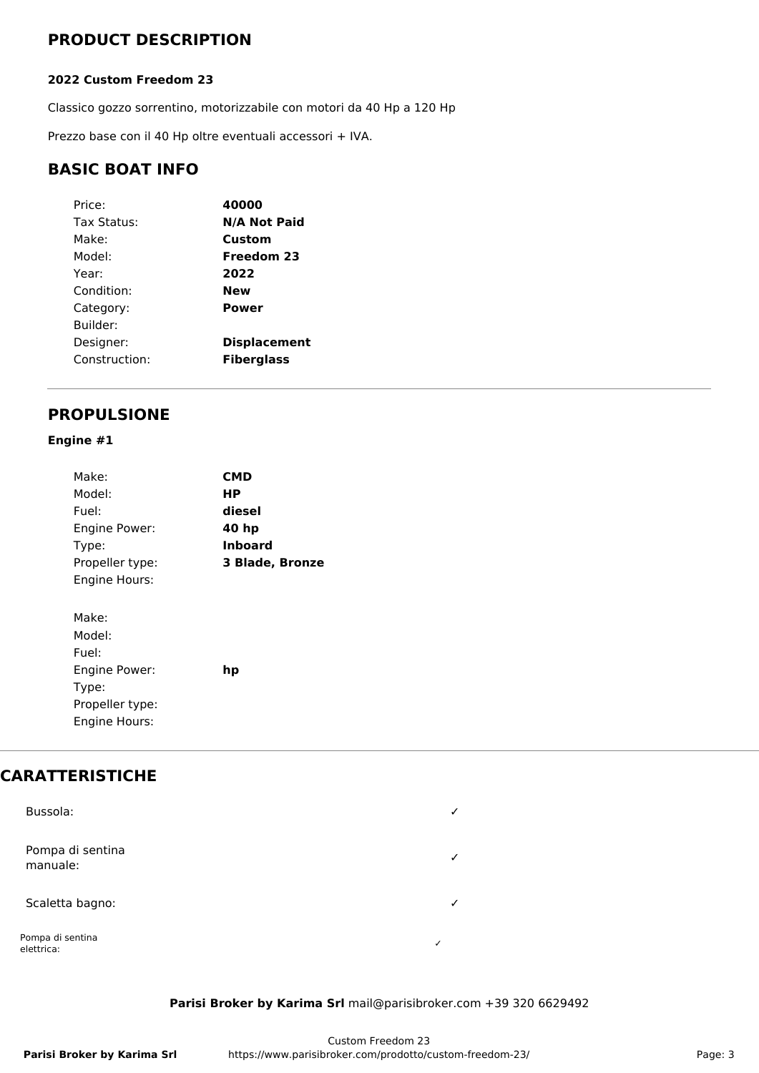# **PRODUCT DESCRIPTION**

### **2022 Custom Freedom 23**

Classico gozzo sorrentino, motorizzabile con motori da 40 Hp a 120 Hp

Prezzo base con il 40 Hp oltre eventuali accessori + IVA.

# **BASIC BOAT INFO**

| Price:        | 40000               |
|---------------|---------------------|
| Tax Status:   | <b>N/A Not Paid</b> |
| Make:         | Custom              |
| Model:        | Freedom 23          |
| Year:         | 2022                |
| Condition:    | New                 |
| Category:     | Power               |
| Builder:      |                     |
| Designer:     | <b>Displacement</b> |
| Construction: | <b>Fiberglass</b>   |

# **PROPULSIONE**

### **Engine #1**

| CMD                    |
|------------------------|
| НP                     |
| diesel                 |
| 40 hp                  |
| Inboard                |
| <b>3 Blade, Bronze</b> |
|                        |
|                        |
|                        |
|                        |
|                        |
| hp                     |
|                        |
|                        |
|                        |
|                        |

# **CARATTERISTICHE**

| Bussola:                       | ✓            |
|--------------------------------|--------------|
| Pompa di sentina<br>manuale:   | $\checkmark$ |
| Scaletta bagno:                | $\checkmark$ |
| Pompa di sentina<br>elettrica: | $\checkmark$ |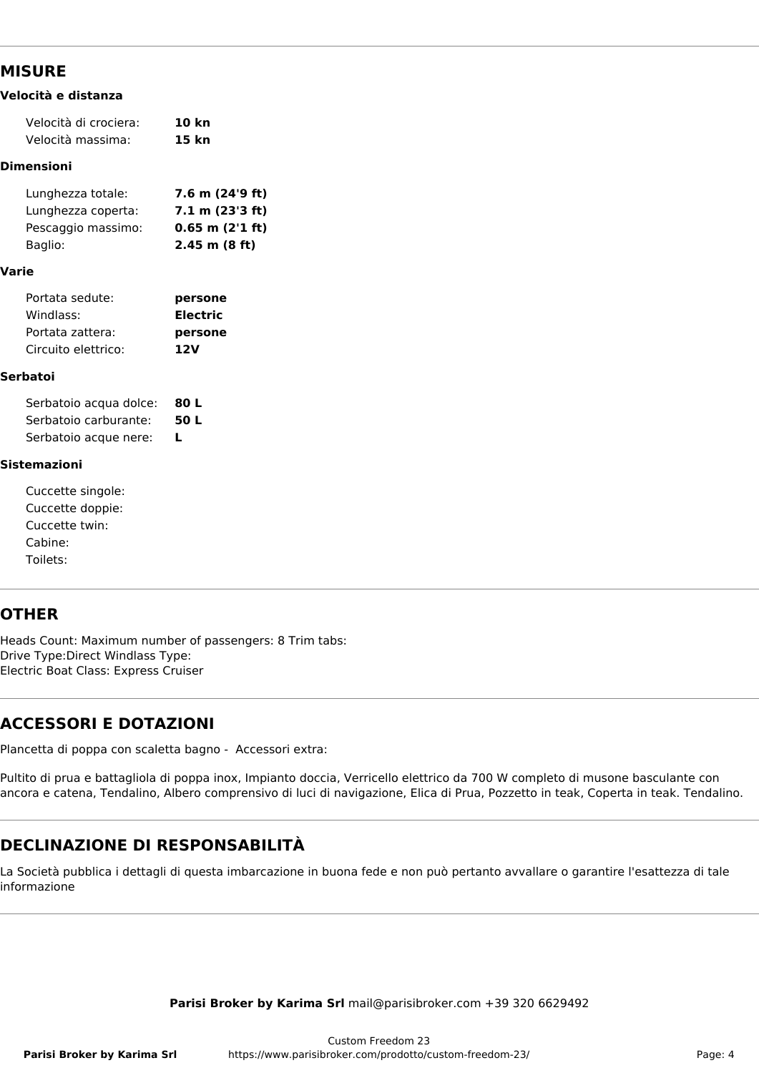### **MISURE**

#### **Velocità e distanza**

| Velocità di crociera: | 10 kn |
|-----------------------|-------|
| Velocità massima:     | 15 kn |
|                       |       |

#### **Dimensioni**

| Lunghezza totale:  | 7.6 m (24'9 ft)     |
|--------------------|---------------------|
| Lunghezza coperta: | 7.1 m (23'3 ft)     |
| Pescaggio massimo: | $0.65$ m $(2'1$ ft) |
| Baglio:            | $2.45$ m $(8 ft)$   |

#### **Varie**

| Portata sedute:     | persone         |
|---------------------|-----------------|
| Windlass:           | <b>Electric</b> |
| Portata zattera:    | persone         |
| Circuito elettrico: | 12V             |

#### **Serbatoi**

| Serbatoio acqua dolce: | 80 L |
|------------------------|------|
| Serbatoio carburante:  | 50 L |
| Serbatoio acque nere:  | L    |

#### **Sistemazioni**

| Cuccette singole: |  |
|-------------------|--|
| Cuccette doppie:  |  |
| Cuccette twin:    |  |
| Cabine:           |  |
| Toilets:          |  |

# **OTHER**

Heads Count: Maximum number of passengers: 8 Trim tabs: Drive Type:Direct Windlass Type: Electric Boat Class: Express Cruiser

# **ACCESSORI E DOTAZIONI**

Plancetta di poppa con scaletta bagno - Accessori extra:

Pultito di prua e battagliola di poppa inox, Impianto doccia, Verricello elettrico da 700 W completo di musone basculante con ancora e catena, Tendalino, Albero comprensivo di luci di navigazione, Elica di Prua, Pozzetto in teak, Coperta in teak. Tendalino.

# **DECLINAZIONE DI RESPONSABILITÀ**

La Società pubblica i dettagli di questa imbarcazione in buona fede e non può pertanto avvallare o garantire l'esattezza di tale informazione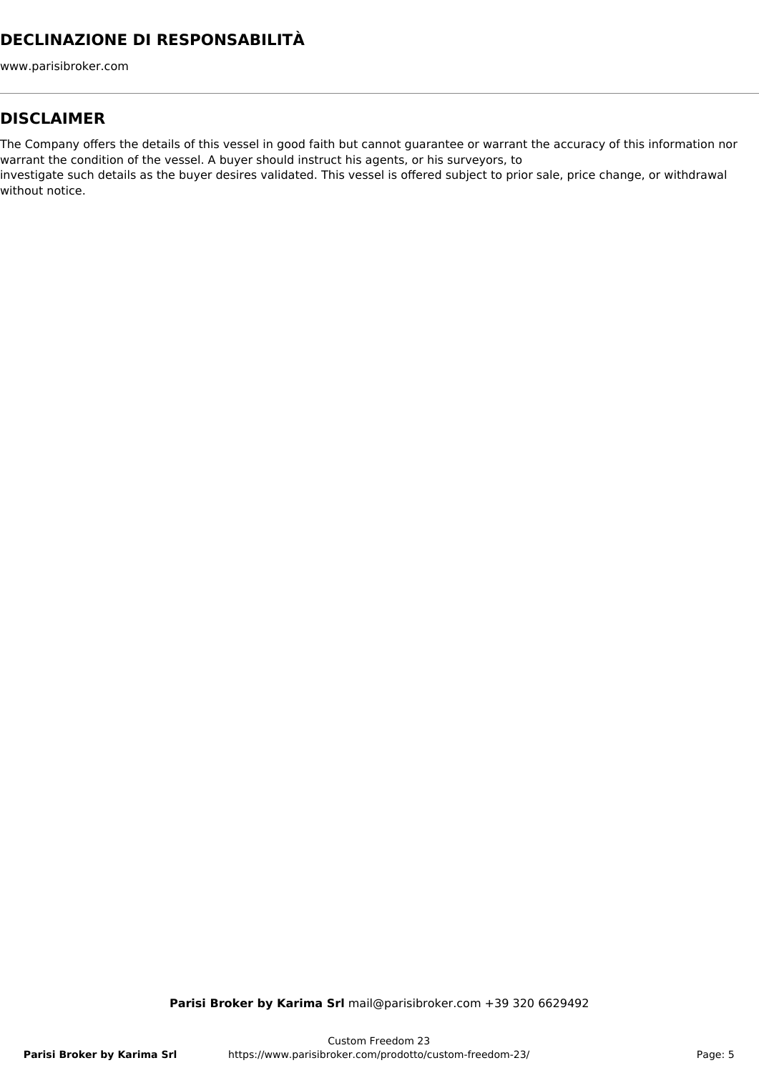# **DECLINAZIONE DI RESPONSABILITÀ**

www.parisibroker.com

### **DISCLAIMER**

The Company offers the details of this vessel in good faith but cannot guarantee or warrant the accuracy of this information nor warrant the condition of the vessel. A buyer should instruct his agents, or his surveyors, to

investigate such details as the buyer desires validated. This vessel is offered subject to prior sale, price change, or withdrawal without notice.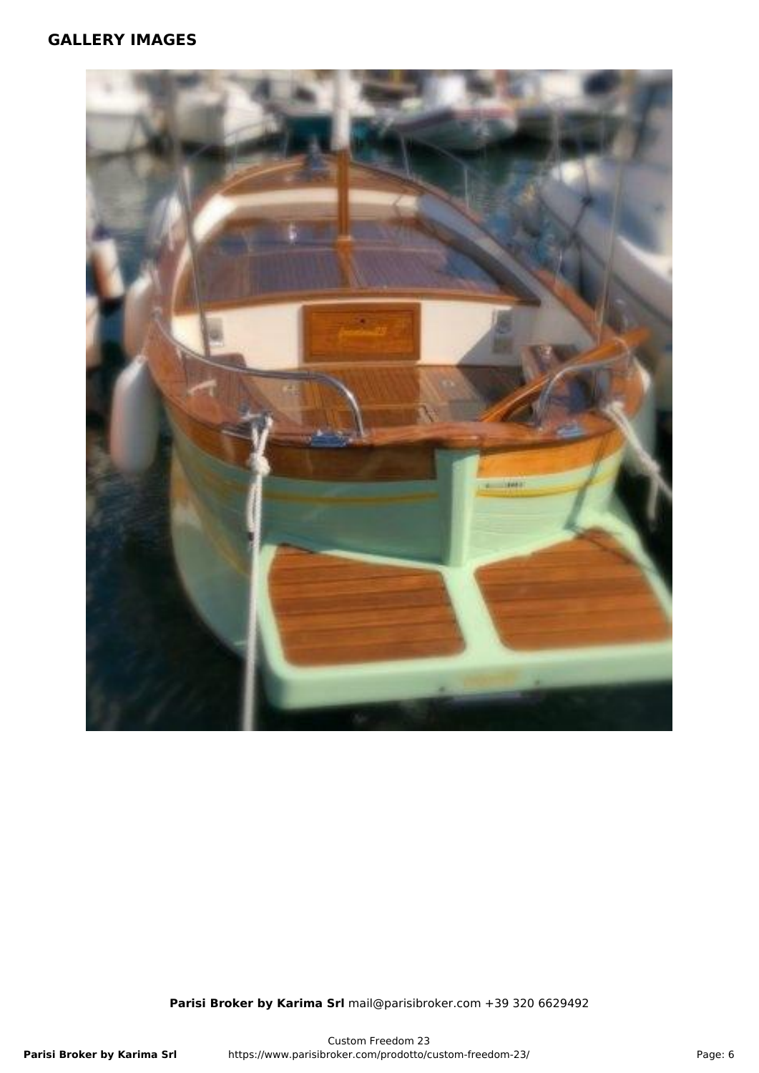### **GALLERY IMAGES**

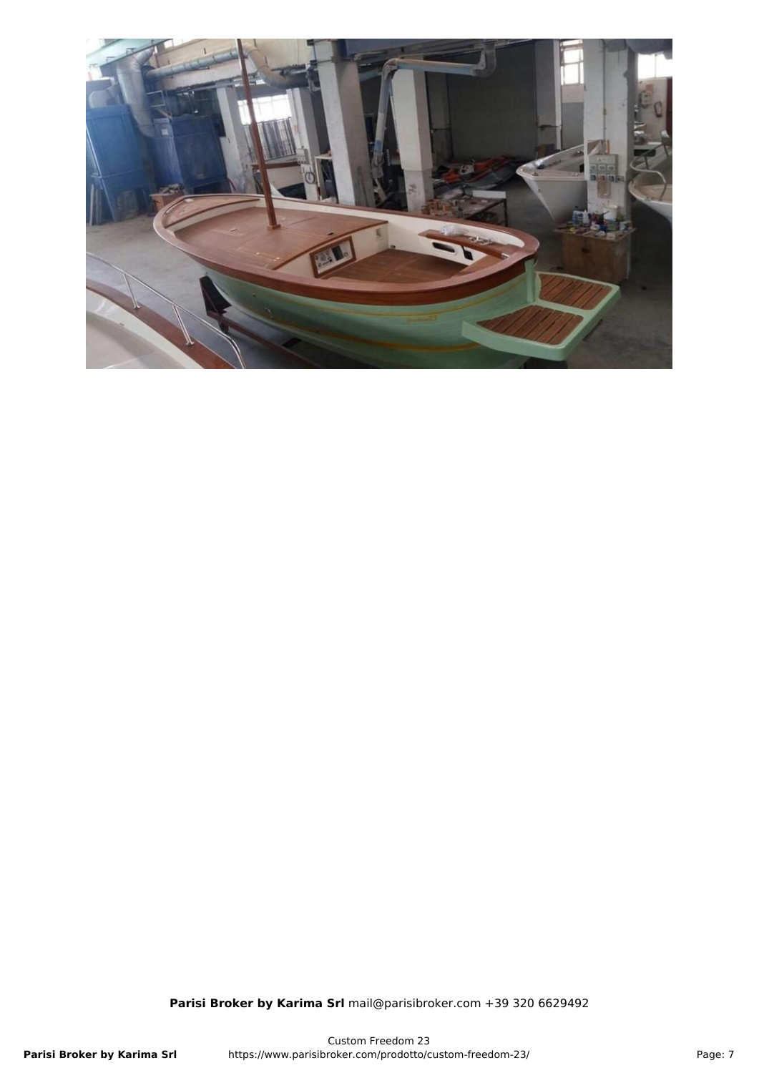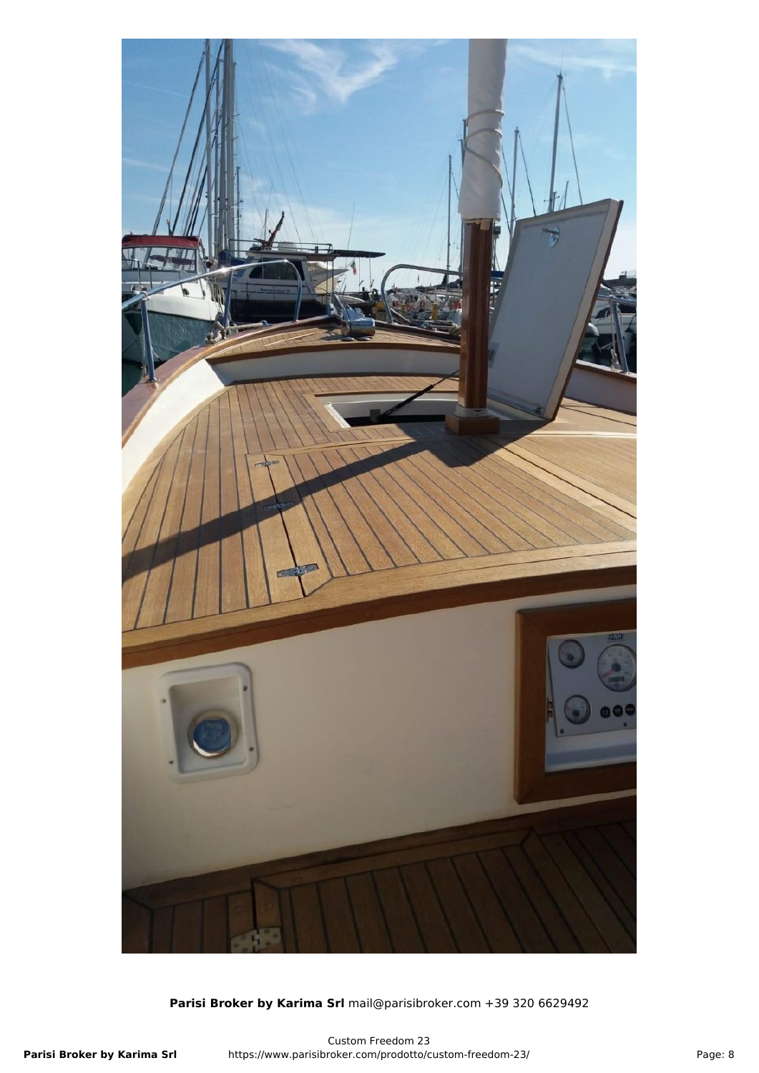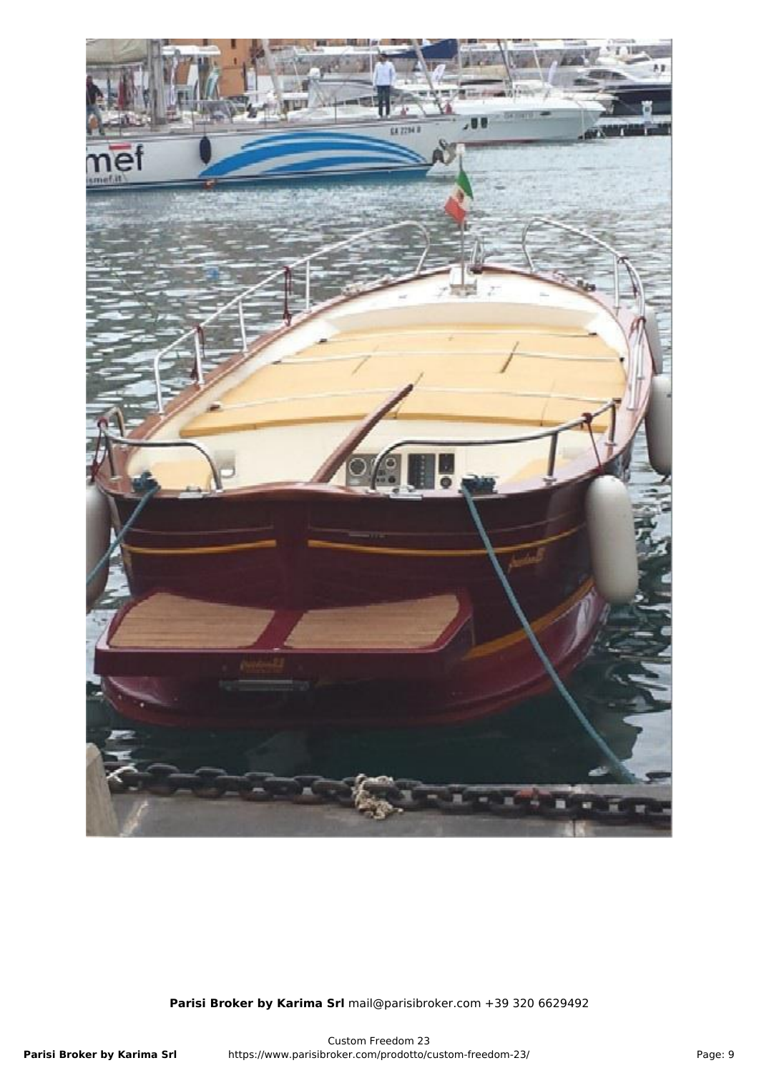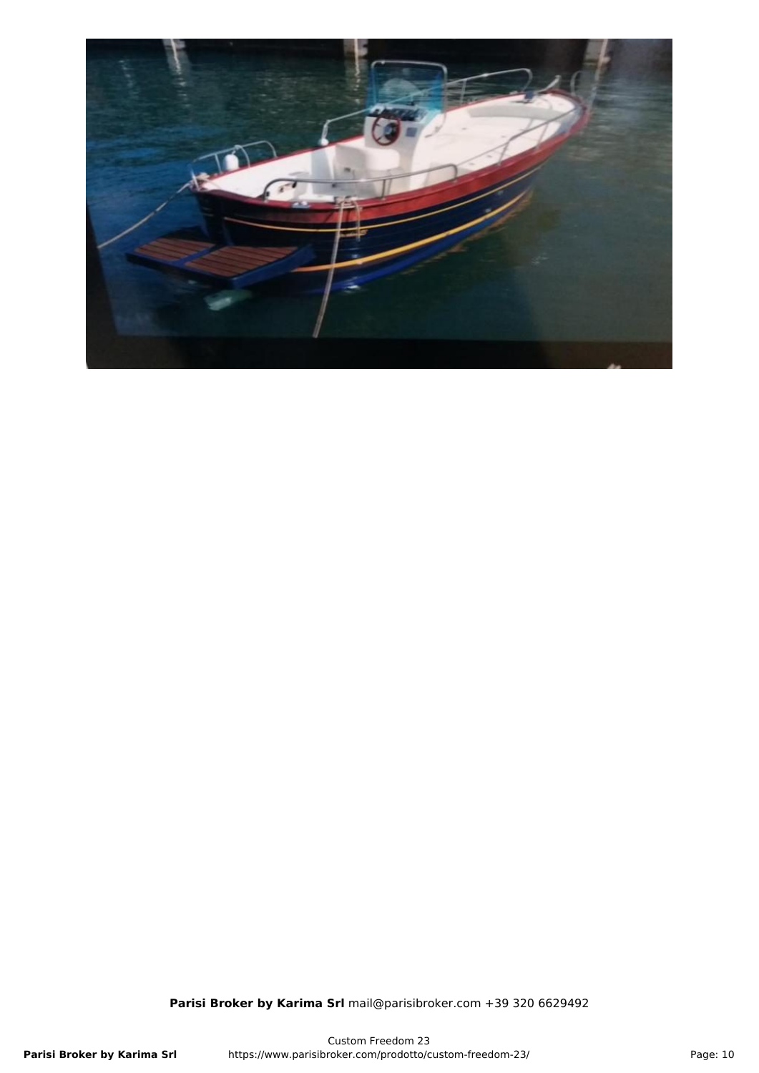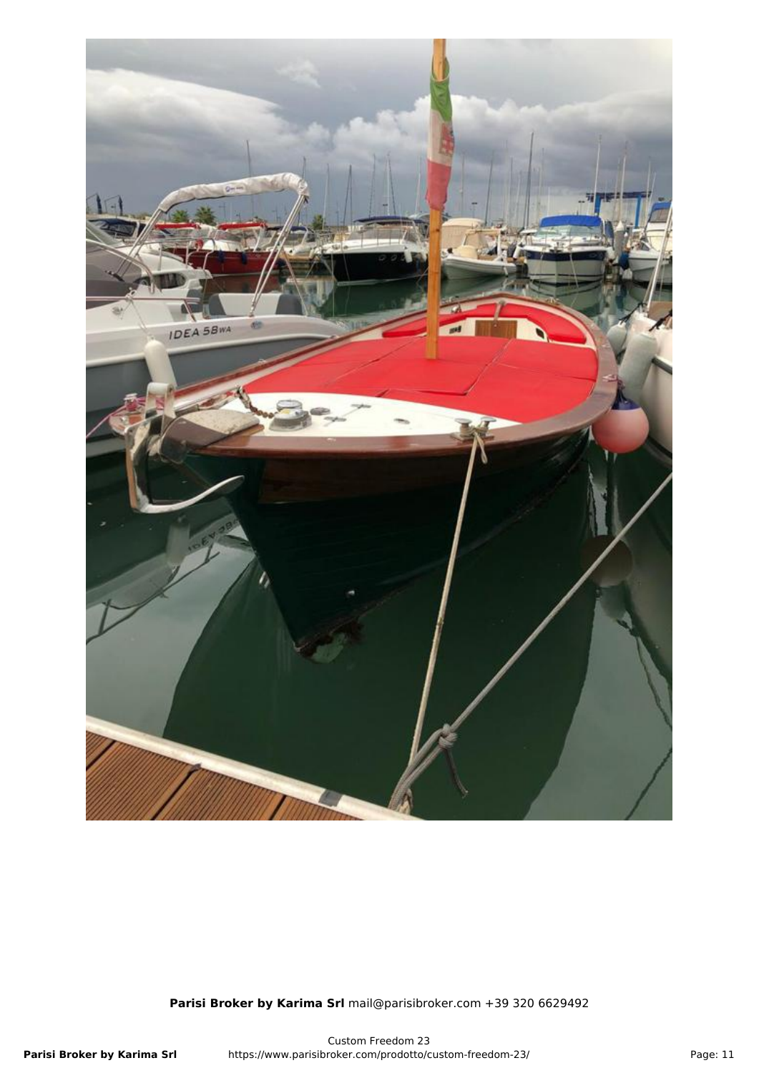